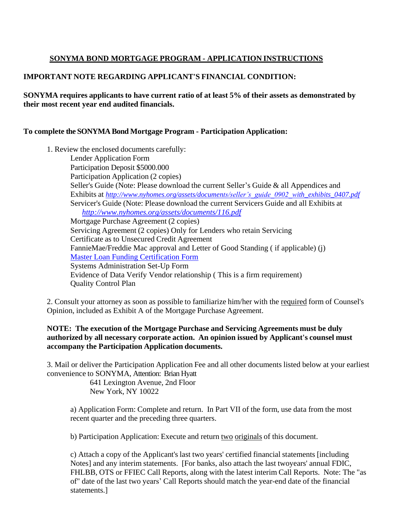## **SONYMA BOND MORTGAGE PROGRAM - APPLICATION INSTRUCTIONS**

## **IMPORTANT NOTE REGARDING APPLICANT'S FINANCIAL CONDITION:**

**SONYMA requires applicants to have current ratio of at least 5% of their assets as demonstrated by their most recent year end audited financials.**

## **To complete the SONYMA Bond Mortgage Program - Participation Application:**

1. Review the enclosed documents carefully: Lender Application Form Participation Deposit \$5000.000 Participation Application (2 copies) Seller's Guide (Note: Please download the current Seller's Guide & all Appendices and Exhibits at *[http://www.nyhomes.org/assets/documents/seller's\\_guide\\_0902\\_with\\_exhibits\\_0407.pdf](http://www.nyhomes.org/assets/documents/seller%E2%80%99s_guide_0902_with_exhibits_0407.pdf)* Servicer's Guide (Note: Please download the current Servicers Guide and all Exhibits at *<http://www.nyhomes.org/assets/documents/116.pdf>* Mortgage Purchase Agreement (2 copies) Servicing Agreement (2 copies) Only for Lenders who retain Servicing Certificate as to Unsecured Credit Agreement FannieMae/Freddie Mac approval and Letter of Good Standing ( if applicable) (j) Master Loan Funding Certification Form Systems [Administration](http://www.nyshcr.org/assets/Documents/SE%20Lender%20Setup%20Request%20Form%2020180418%20(002).pdf) Set-Up Form Evidence of Data Verify Vendor relationship ( This is a firm requirement) Quality Control Plan

2. Consult your attorney as soon as possible to familiarize him/her with the required form of Counsel's Opinion, included as Exhibit A of the Mortgage Purchase Agreement.

## **NOTE: The execution of the Mortgage Purchase and Servicing Agreements must be duly authorized by all necessary corporate action. An opinion issued by Applicant's counsel must accompany the Participation Application documents.**

3. Mail or deliver the Participation Application Fee and all other documents listed below at your earliest convenience to SONYMA, Attention: Brian Hyatt

641 Lexington Avenue, 2nd Floor New York, NY 10022

a) Application Form: Complete and return. In Part VII of the form, use data from the most recent quarter and the preceding three quarters.

b) Participation Application: Execute and return two originals of this document.

c) Attach a copy of the Applicant's last two years' certified financial statements [including Notes] and any interim statements. [For banks, also attach the last twoyears' annual FDIC, FHLBB, OTS or FFIEC Call Reports, along with the latest interim Call Reports. Note: The "as of" date of the last two years' Call Reports should match the year-end date of the financial statements.]